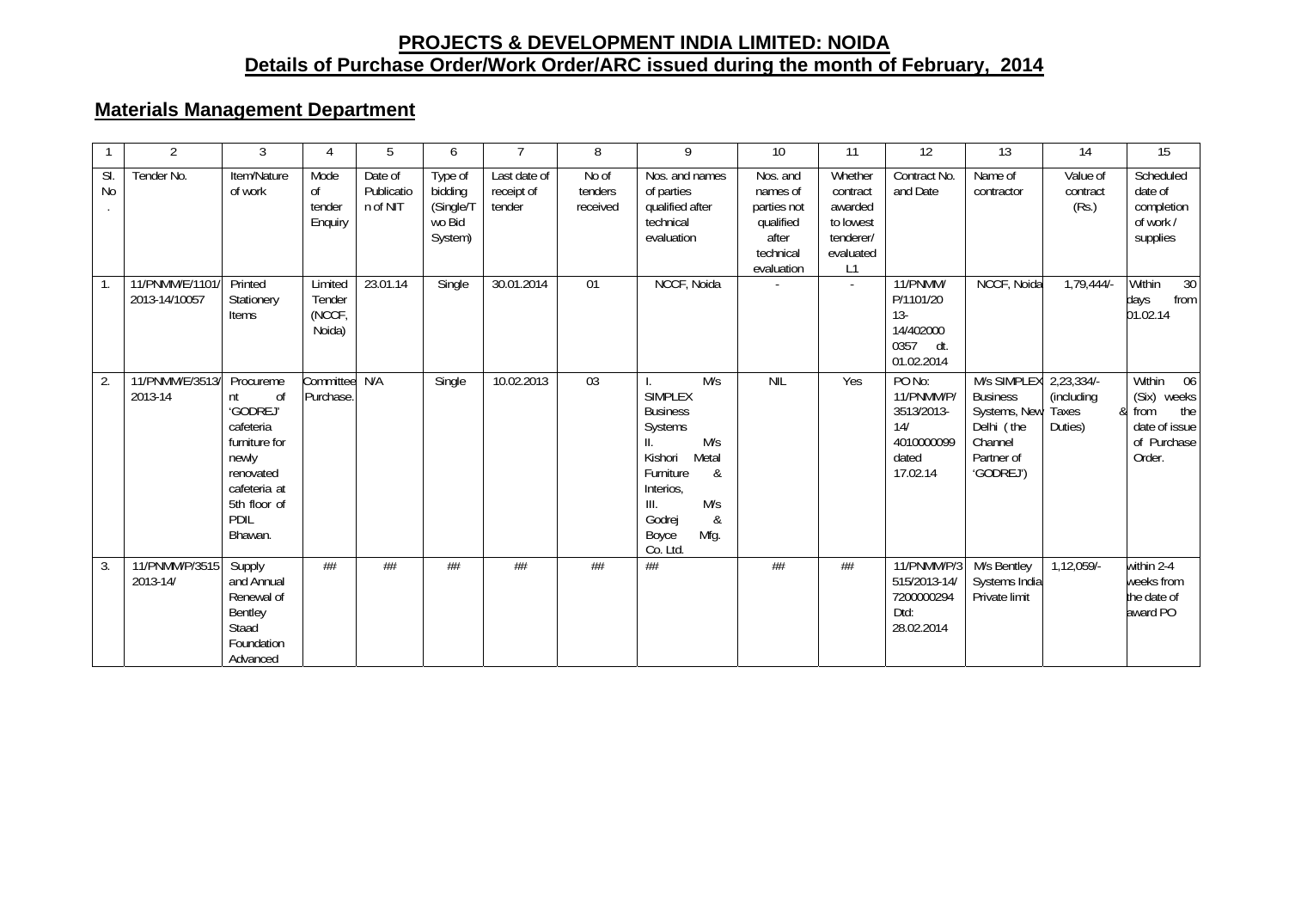# **PROJECTS & DEVELOPMENT INDIA LIMITED: NOIDA Details of Purchase Order/Work Order/ARC issued during the month of February, 2014**

## **Materials Management Department**

|                  | $\overline{2}$                           | 3                                                                                                                                        | 4                                     | 5                                 | 6                                                    | $\overline{7}$                       | 8                            | 9                                                                                                                                                                                          | 10 <sup>°</sup>                                                                      | 11                                                                          | 12                                                                           | 13                                                                                                 | 14                                           | 15                                                                                     |
|------------------|------------------------------------------|------------------------------------------------------------------------------------------------------------------------------------------|---------------------------------------|-----------------------------------|------------------------------------------------------|--------------------------------------|------------------------------|--------------------------------------------------------------------------------------------------------------------------------------------------------------------------------------------|--------------------------------------------------------------------------------------|-----------------------------------------------------------------------------|------------------------------------------------------------------------------|----------------------------------------------------------------------------------------------------|----------------------------------------------|----------------------------------------------------------------------------------------|
| SI.<br><b>No</b> | Tender No.                               | Item/Nature<br>of work                                                                                                                   | Mode<br>οf<br>tender<br>Enguiry       | Date of<br>Publicatio<br>n of NIT | Type of<br>bidding<br>(Single/T<br>wo Bid<br>System) | Last date of<br>receipt of<br>tender | No of<br>tenders<br>received | Nos. and names<br>of parties<br>qualified after<br>technical<br>evaluation                                                                                                                 | Nos. and<br>names of<br>parties not<br>qualified<br>after<br>technical<br>evaluation | Whether<br>contract<br>awarded<br>to lowest<br>tenderer/<br>evaluated<br>L1 | Contract No.<br>and Date                                                     | Name of<br>contractor                                                                              | $\overline{V}$ alue of<br>contract<br>(Rs.)  | Scheduled<br>date of<br>completion<br>of work /<br>supplies                            |
| $\overline{1}$ . | 11/PNMM/E/1101/ Printed<br>2013-14/10057 | Stationery<br>Items                                                                                                                      | Limited<br>Tender<br>(NCCF,<br>Noida) | 23.01.14                          | Single                                               | 30.01.2014                           | 01                           | NCCF, Noida                                                                                                                                                                                |                                                                                      | $\sim$                                                                      | 11/PNMM/<br>P/1101/20<br>$13 -$<br>14/402000<br>0357<br>dt.<br>01.02.2014    | NCCF, Noida                                                                                        | $1,79,444/-$                                 | Within<br>30<br>from<br>days<br>01.02.14                                               |
| 2.               | 11/PNMM/E/3513/<br>2013-14               | Procureme<br>nt<br>0f<br>'GODREJ'<br>cafeteria<br>furniture for<br>newly<br>renovated<br>cafeteria at<br>5th floor of<br>PDIL<br>Bhawan. | Committee N/A<br>Purchase.            |                                   | Single                                               | 10.02.2013                           | 03                           | M/s<br><b>SIMPLEX</b><br><b>Business</b><br>Systems<br>M/s<br>$\mathsf{II}.$<br>Metal<br>Kishori<br>Furniture<br>&<br>Interios,<br>M/s<br>III.<br>Godrej<br>&<br>Mfg.<br>Boyce<br>Co. Ltd. | <b>NIL</b>                                                                           | Yes                                                                         | PO No:<br>11/PNMM/P/<br>3513/2013-<br>14/<br>4010000099<br>dated<br>17.02.14 | M/s SIMPLEX<br><b>Business</b><br>Systems, New<br>Delhi (the<br>Channel<br>Partner of<br>'GODREJ') | 2,23,334/-<br>(including<br>Taxes<br>Duties) | Within<br>06<br>(Six) weeks<br>the<br>& from<br>date of issue<br>of Purchase<br>Order. |
| 3.               | 11/PNMM/P/3515<br>2013-14/               | Supply<br>and Annual<br>Renewal of<br>Bentley<br>Staad<br>Foundation<br>Advanced                                                         | ##                                    | $\#\#$                            | ##                                                   | ##                                   | $\#\#$                       | ##                                                                                                                                                                                         | $\#\#$                                                                               | ##                                                                          | 11/PNMM/P/3<br>515/2013-14/<br>7200000294<br>Dtd:<br>28.02.2014              | M/s Bentley<br>Systems India<br>Private limit                                                      | $1,12,059/-$                                 | within 2-4<br>weeks from<br>the date of<br>award PO                                    |